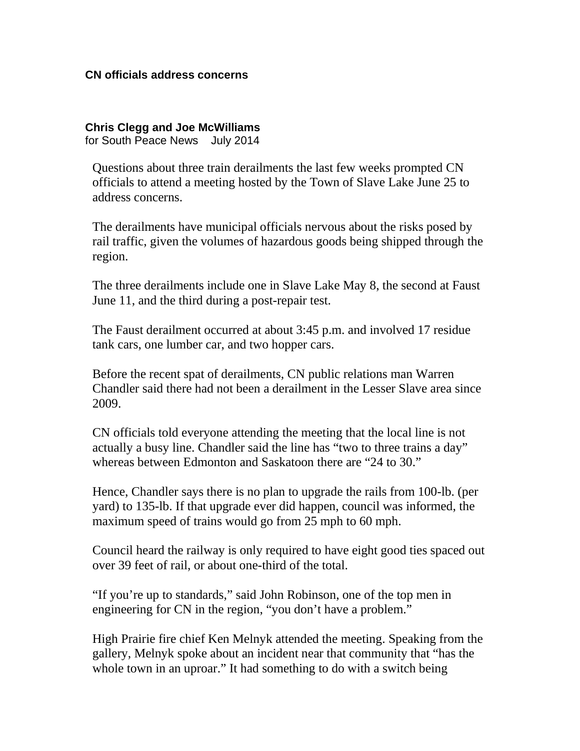## **CN officials address concerns**

**Chris Clegg and Joe McWilliams**  for South Peace News July 2014

Questions about three train derailments the last few weeks prompted CN officials to attend a meeting hosted by the Town of Slave Lake June 25 to address concerns.

The derailments have municipal officials nervous about the risks posed by rail traffic, given the volumes of hazardous goods being shipped through the region.

The three derailments include one in Slave Lake May 8, the second at Faust June 11, and the third during a post-repair test.

The Faust derailment occurred at about 3:45 p.m. and involved 17 residue tank cars, one lumber car, and two hopper cars.

Before the recent spat of derailments, CN public relations man Warren Chandler said there had not been a derailment in the Lesser Slave area since 2009.

CN officials told everyone attending the meeting that the local line is not actually a busy line. Chandler said the line has "two to three trains a day" whereas between Edmonton and Saskatoon there are "24 to 30."

Hence, Chandler says there is no plan to upgrade the rails from 100-lb. (per yard) to 135-lb. If that upgrade ever did happen, council was informed, the maximum speed of trains would go from 25 mph to 60 mph.

Council heard the railway is only required to have eight good ties spaced out over 39 feet of rail, or about one-third of the total.

"If you're up to standards," said John Robinson, one of the top men in engineering for CN in the region, "you don't have a problem."

High Prairie fire chief Ken Melnyk attended the meeting. Speaking from the gallery, Melnyk spoke about an incident near that community that "has the whole town in an uproar." It had something to do with a switch being